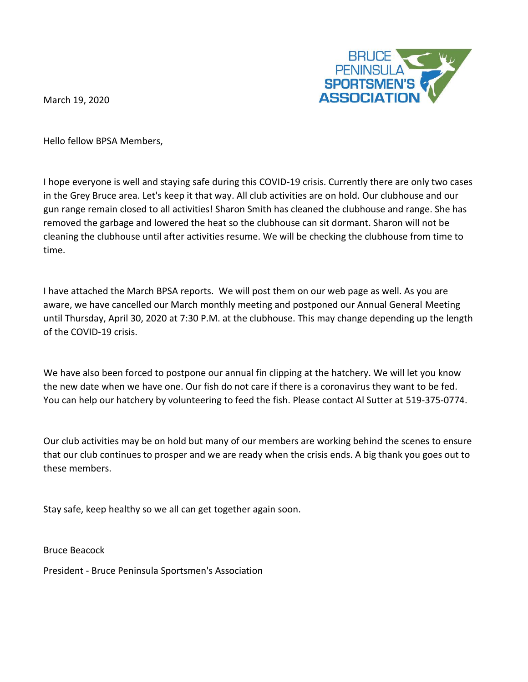March 19, 2020



Hello fellow BPSA Members,

I hope everyone is well and staying safe during this COVID-19 crisis. Currently there are only two cases in the Grey Bruce area. Let's keep it that way. All club activities are on hold. Our clubhouse and our gun range remain closed to all activities! Sharon Smith has cleaned the clubhouse and range. She has removed the garbage and lowered the heat so the clubhouse can sit dormant. Sharon will not be cleaning the clubhouse until after activities resume. We will be checking the clubhouse from time to time.

I have attached the March BPSA reports. We will post them on our web page as well. As you are aware, we have cancelled our March monthly meeting and postponed our Annual General Meeting until Thursday, April 30, 2020 at 7:30 P.M. at the clubhouse. This may change depending up the length of the COVID-19 crisis.

We have also been forced to postpone our annual fin clipping at the hatchery. We will let you know the new date when we have one. Our fish do not care if there is a coronavirus they want to be fed. You can help our hatchery by volunteering to feed the fish. Please contact Al Sutter at 519-375-0774.

Our club activities may be on hold but many of our members are working behind the scenes to ensure that our club continues to prosper and we are ready when the crisis ends. A big thank you goes out to these members.

Stay safe, keep healthy so we all can get together again soon.

Bruce Beacock

President - Bruce Peninsula Sportsmen's Association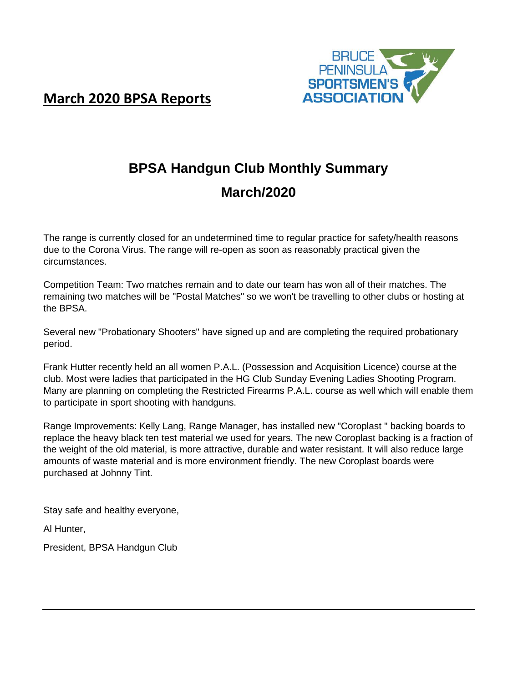



# **BPSA Handgun Club Monthly Summary March/2020**

The range is currently closed for an undetermined time to regular practice for safety/health reasons due to the Corona Virus. The range will re-open as soon as reasonably practical given the circumstances.

Competition Team: Two matches remain and to date our team has won all of their matches. The remaining two matches will be "Postal Matches" so we won't be travelling to other clubs or hosting at the BPSA.

Several new "Probationary Shooters" have signed up and are completing the required probationary period.

Frank Hutter recently held an all women P.A.L. (Possession and Acquisition Licence) course at the club. Most were ladies that participated in the HG Club Sunday Evening Ladies Shooting Program. Many are planning on completing the Restricted Firearms P.A.L. course as well which will enable them to participate in sport shooting with handguns.

Range Improvements: Kelly Lang, Range Manager, has installed new "Coroplast " backing boards to replace the heavy black ten test material we used for years. The new Coroplast backing is a fraction of the weight of the old material, is more attractive, durable and water resistant. It will also reduce large amounts of waste material and is more environment friendly. The new Coroplast boards were purchased at Johnny Tint.

Stay safe and healthy everyone,

Al Hunter,

President, BPSA Handgun Club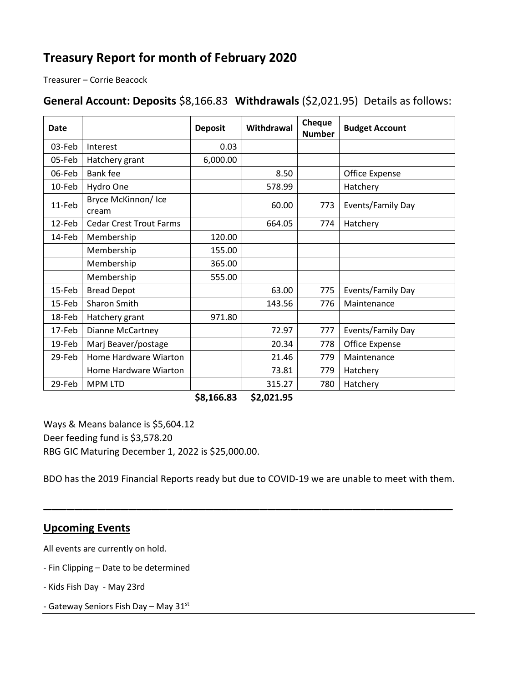## **Treasury Report for month of February 2020**

Treasurer – Corrie Beacock

### **General Account: Deposits** \$8,166.83 **Withdrawals** (\$2,021.95) Details as follows:

| <b>Date</b> |                                | <b>Deposit</b> | Withdrawal | Cheque<br><b>Number</b> | <b>Budget Account</b> |
|-------------|--------------------------------|----------------|------------|-------------------------|-----------------------|
| 03-Feb      | Interest                       | 0.03           |            |                         |                       |
| 05-Feb      | Hatchery grant                 | 6,000.00       |            |                         |                       |
| 06-Feb      | Bank fee                       |                | 8.50       |                         | Office Expense        |
| 10-Feb      | Hydro One                      |                | 578.99     |                         | Hatchery              |
| 11-Feb      | Bryce McKinnon/Ice<br>cream    |                | 60.00      | 773                     | Events/Family Day     |
| 12-Feb      | <b>Cedar Crest Trout Farms</b> |                | 664.05     | 774                     | Hatchery              |
| 14-Feb      | Membership                     | 120.00         |            |                         |                       |
|             | Membership                     | 155.00         |            |                         |                       |
|             | Membership                     | 365.00         |            |                         |                       |
|             | Membership                     | 555.00         |            |                         |                       |
| 15-Feb      | <b>Bread Depot</b>             |                | 63.00      | 775                     | Events/Family Day     |
| 15-Feb      | Sharon Smith                   |                | 143.56     | 776                     | Maintenance           |
| 18-Feb      | Hatchery grant                 | 971.80         |            |                         |                       |
| 17-Feb      | <b>Dianne McCartney</b>        |                | 72.97      | 777                     | Events/Family Day     |
| 19-Feb      | Marj Beaver/postage            |                | 20.34      | 778                     | Office Expense        |
| 29-Feb      | Home Hardware Wiarton          |                | 21.46      | 779                     | Maintenance           |
|             | Home Hardware Wiarton          |                | 73.81      | 779                     | Hatchery              |
| 29-Feb      | <b>MPM LTD</b>                 |                | 315.27     | 780                     | Hatchery              |

**\$8,166.83 \$2,021.95**

Ways & Means balance is \$5,604.12 Deer feeding fund is \$3,578.20 RBG GIC Maturing December 1, 2022 is \$25,000.00.

BDO has the 2019 Financial Reports ready but due to COVID-19 we are unable to meet with them.

\_\_\_\_\_\_\_\_\_\_\_\_\_\_\_\_\_\_\_\_\_\_\_\_\_\_\_\_\_\_\_\_\_\_\_\_\_\_\_\_\_\_\_\_\_\_\_\_\_\_\_\_\_

#### **Upcoming Events**

All events are currently on hold.

- Fin Clipping Date to be determined
- Kids Fish Day May 23rd
- Gateway Seniors Fish Day May 31st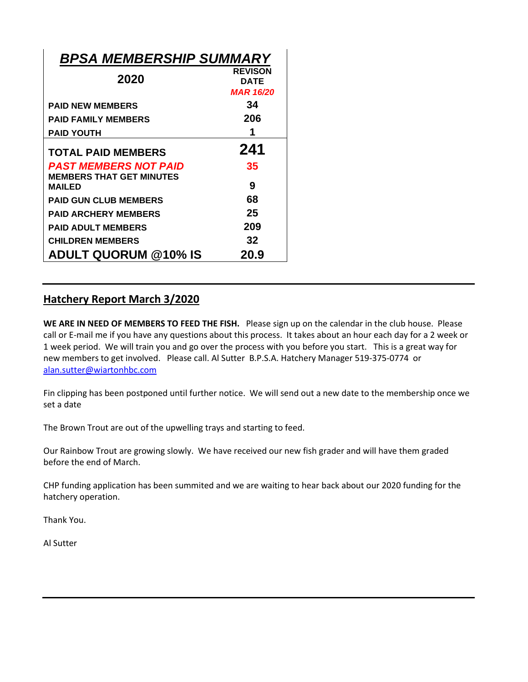| <b>BPSA MEMBERSHIP SUMMARY</b>                                  |                                                   |
|-----------------------------------------------------------------|---------------------------------------------------|
| 2020                                                            | <b>REVISON</b><br><b>DATE</b><br><b>MAR 16/20</b> |
| <b>PAID NEW MEMBERS</b>                                         | 34                                                |
| <b>PAID FAMILY MEMBERS</b>                                      | 206                                               |
| <b>PAID YOUTH</b>                                               | 1                                                 |
| <b>TOTAL PAID MEMBERS</b>                                       | 241                                               |
| <b>PAST MEMBERS NOT PAID</b><br><b>MEMBERS THAT GET MINUTES</b> | 35                                                |
| <b>MAILED</b>                                                   | 9                                                 |
| <b>PAID GUN CLUB MEMBERS</b>                                    | 68                                                |
| <b>PAID ARCHERY MEMBERS</b>                                     | 25                                                |
| <b>PAID ADULT MEMBERS</b>                                       | 209                                               |
| <b>CHILDREN MEMBERS</b>                                         | 32                                                |
| <b>ADULT QUORUM @10% IS</b>                                     | 20.9                                              |

#### **Hatchery Report March 3/2020**

**WE ARE IN NEED OF MEMBERS TO FEED THE FISH.** Please sign up on the calendar in the club house. Please call or E-mail me if you have any questions about this process. It takes about an hour each day for a 2 week or 1 week period. We will train you and go over the process with you before you start. This is a great way for new members to get involved. Please call. Al Sutter B.P.S.A. Hatchery Manager 519-375-0774 or [alan.sutter@wiartonhbc.com](mailto:alan.sutter@wiartonhbc.com)

Fin clipping has been postponed until further notice. We will send out a new date to the membership once we set a date

The Brown Trout are out of the upwelling trays and starting to feed.

Our Rainbow Trout are growing slowly. We have received our new fish grader and will have them graded before the end of March.

CHP funding application has been summited and we are waiting to hear back about our 2020 funding for the hatchery operation.

Thank You.

Al Sutter